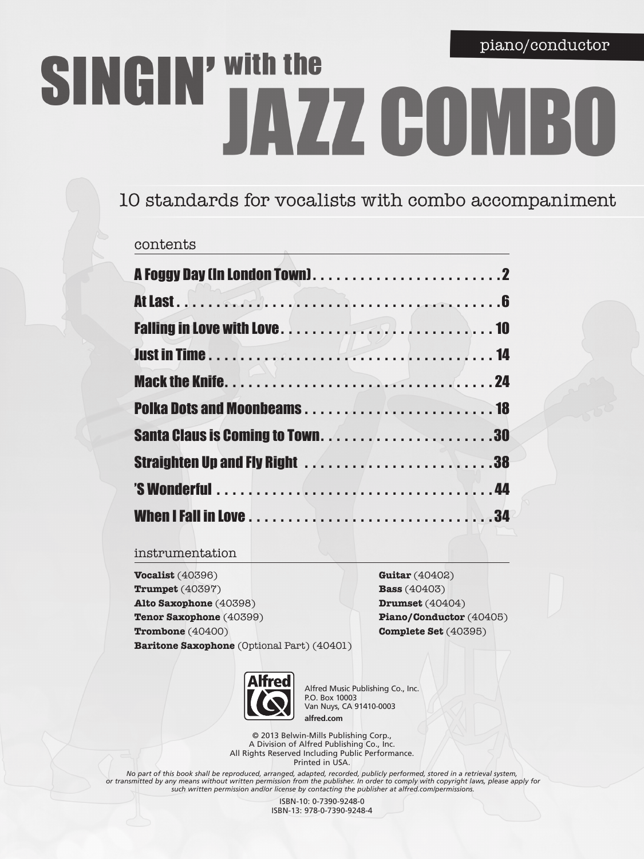# SINGIN' With the JAZZ COMBO

# 10 standards for vocalists with combo accompaniment

### contents

### instrumentation

**Vocalist** (40396) **Trumpet** (40397) **Alto Saxophone** (40398) **Tenor Saxophone** (40399) **Trombone** (40400) **Baritone Saxophone** (Optional Part) (40401)

**Guitar** (40402) **Bass** (40403) **Drumset** (40404) **Piano/Conductor** (40405) **Complete Set** (40395)



Alfred Music Publishing Co., Inc. P.O. Box 10003 Van Nuys, CA 91410-0003 **alfred.com**

© 2013 Belwin-Mills Publishing Corp., A Division of Alfred Publishing Co., Inc. All Rights Reserved Including Public Performance. Printed in USA.

*No part of this book shall be reproduced, arranged, adapted, recorded, publicly performed, stored in a retrieval system, or transmitted by any means without written permission from the publisher. In order to comply with copyright laws, please apply for such written permission and/or license by contacting the publisher at alfred.com/permissions.*

> ISBN-10: 0-7390-9248-0 ISBN-13: 978-0-7390-9248-4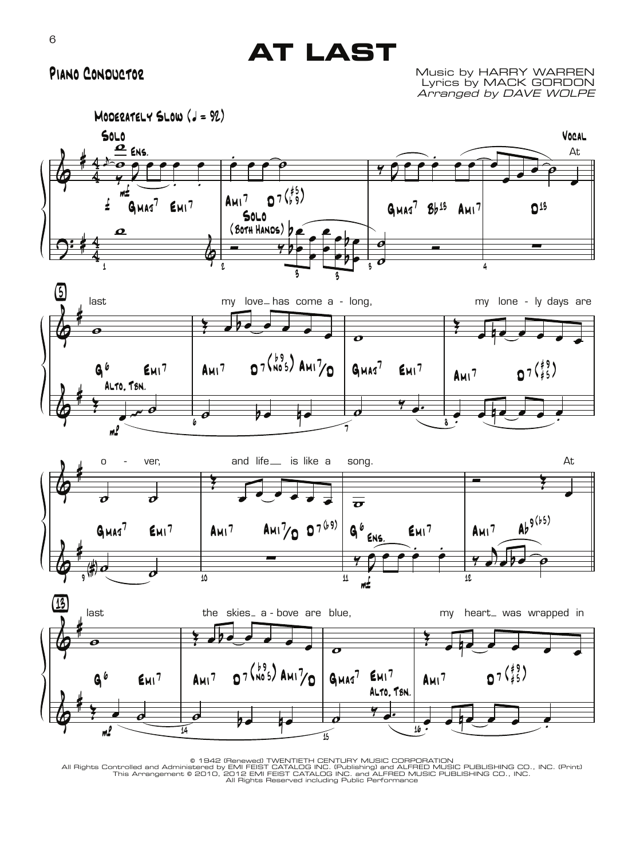# **AT LAST**

## Piano Conductor

Music by HARRY WARREN Lyrics by MACK GORDON Arranged by DAVE WOLPE





© 1942 (Renewed) TWENTIETH CENTURY MUSIC CORPORATION<br>All Rights Controlled and Administered by EMI FEIST CATALOG INC. (Publishing) and ALFRED MUSIC PUBLISHING CO., INC. (Print)<br>All Rights Reserved including Public Performa